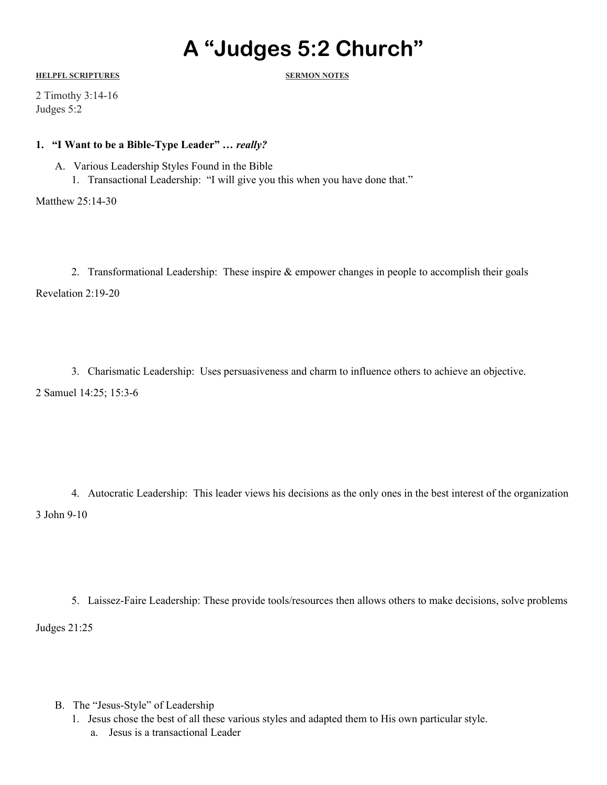# **A "Judges 5:2 Church"**

**HELPFL SCRIPTURES SERMON NOTES**

2 Timothy 3:14-16 Judges 5:2

### **1. "I Want to be a Bible-Type Leader" …** *really?*

- A. Various Leadership Styles Found in the Bible
	- 1. Transactional Leadership: "I will give you this when you have done that."

Matthew 25:14-30

2. Transformational Leadership: These inspire & empower changes in people to accomplish their goals Revelation 2:19-20

3. Charismatic Leadership: Uses persuasiveness and charm to influence others to achieve an objective. 2 Samuel 14:25; 15:3-6

4. Autocratic Leadership: This leader views his decisions as the only ones in the best interest of the organization 3 John 9-10

5. Laissez-Faire Leadership: These provide tools/resources then allows others to make decisions, solve problems Judges 21:25

- B. The "Jesus-Style" of Leadership
	- 1. Jesus chose the best of all these various styles and adapted them to His own particular style.
		- a. Jesus is a transactional Leader